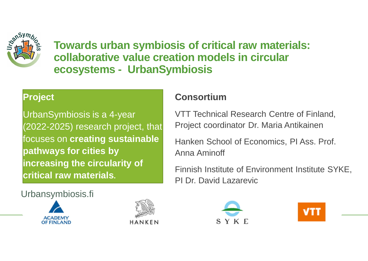

**Towards urban symbiosis of critical raw materials: collaborative value creation models in circular ecosystems - UrbanSymbiosis**

## **Project**

UrbanSymbiosis is a 4-year (2022-2025) research project, that focuses on **creating sustainable pathways for cities by increasing the circularity of critical raw materials.**

## **Consortium**

VTT Technical Research Centre of Finland, Project coordinator Dr. Maria Antikainen

Hanken School of Economics, PI Ass. Prof. Anna Aminoff

Finnish Institute of Environment Institute SYKE, PI Dr. David Lazarevic



SYKF



Urbansymbiosis.fi



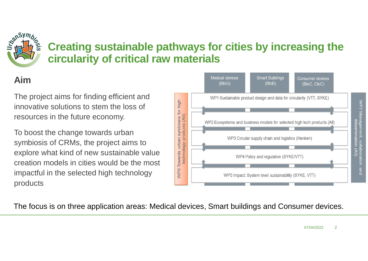## panSym<sub>6</sub> **Creating sustainable pathways for cities by increasing the circularity of critical raw materials**

## **Aim**

The project aims for finding efficient and innovative solutions to stem the loss of resources in the future economy.

To boost the change towards urban symbiosis of CRMs, the project aims to explore what kind of new sustainable value creation models in cities would be the most impactful in the selected high technology products

**Medical devices Smart Buildings Consumer devices** (BtoG) (BtoB) (BtoC, CtoC) WP1 Sustainable product design and data for circularity (VTT, SYKE) WP6 Towards urban symbiosis for high<br>technology products (All) WP7 Management, collaboration and<br>dissemination (All) WP2 Ecosystems and business models for selected high tech products (All) WP3 Circular supply chain and logistics (Hanken) WP4 Policy and regulation (SYKE/VTT) WP5 Impact: System level sustainability (SYKE, VTT)

The focus is on three application areas: Medical devices, Smart buildings and Consumer devices.

07/04/2022 2